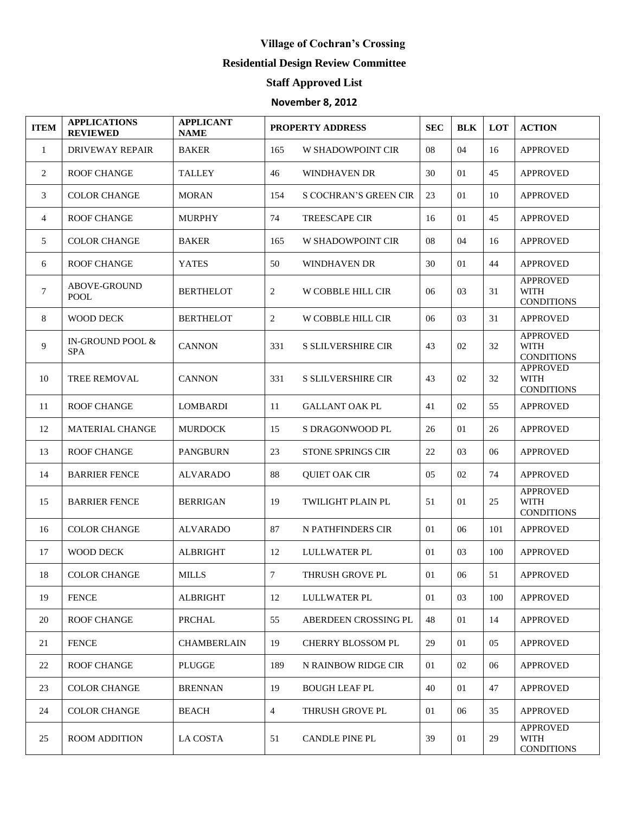## **Village of Cochran's Crossing**

## **Residential Design Review Committee**

## **Staff Approved List**

## **November 8, 2012**

| <b>ITEM</b>    | <b>APPLICATIONS</b><br><b>REVIEWED</b> | <b>APPLICANT</b><br><b>NAME</b> | <b>PROPERTY ADDRESS</b> |                              | <b>SEC</b> | <b>BLK</b> | LOT | <b>ACTION</b>                                       |
|----------------|----------------------------------------|---------------------------------|-------------------------|------------------------------|------------|------------|-----|-----------------------------------------------------|
| 1              | <b>DRIVEWAY REPAIR</b>                 | <b>BAKER</b>                    | 165                     | <b>W SHADOWPOINT CIR</b>     | 08         | 04         | 16  | <b>APPROVED</b>                                     |
| 2              | <b>ROOF CHANGE</b>                     | <b>TALLEY</b>                   | 46                      | WINDHAVEN DR                 | 30         | 01         | 45  | <b>APPROVED</b>                                     |
| 3              | <b>COLOR CHANGE</b>                    | <b>MORAN</b>                    | 154                     | <b>S COCHRAN'S GREEN CIR</b> | 23         | 01         | 10  | <b>APPROVED</b>                                     |
| $\overline{4}$ | <b>ROOF CHANGE</b>                     | <b>MURPHY</b>                   | 74                      | <b>TREESCAPE CIR</b>         | 16         | 01         | 45  | <b>APPROVED</b>                                     |
| 5              | <b>COLOR CHANGE</b>                    | <b>BAKER</b>                    | 165                     | <b>W SHADOWPOINT CIR</b>     | 08         | 04         | 16  | <b>APPROVED</b>                                     |
| 6              | <b>ROOF CHANGE</b>                     | <b>YATES</b>                    | 50                      | WINDHAVEN DR                 | 30         | 01         | 44  | <b>APPROVED</b>                                     |
| $\tau$         | <b>ABOVE-GROUND</b><br><b>POOL</b>     | <b>BERTHELOT</b>                | 2                       | W COBBLE HILL CIR            | 06         | 03         | 31  | <b>APPROVED</b><br><b>WITH</b><br><b>CONDITIONS</b> |
| 8              | <b>WOOD DECK</b>                       | <b>BERTHELOT</b>                | 2                       | W COBBLE HILL CIR            | 06         | 03         | 31  | <b>APPROVED</b>                                     |
| 9              | IN-GROUND POOL &<br><b>SPA</b>         | <b>CANNON</b>                   | 331                     | <b>S SLILVERSHIRE CIR</b>    | 43         | 02         | 32  | <b>APPROVED</b><br><b>WITH</b><br><b>CONDITIONS</b> |
| 10             | <b>TREE REMOVAL</b>                    | <b>CANNON</b>                   | 331                     | <b>S SLILVERSHIRE CIR</b>    | 43         | 02         | 32  | <b>APPROVED</b><br><b>WITH</b><br><b>CONDITIONS</b> |
| 11             | <b>ROOF CHANGE</b>                     | <b>LOMBARDI</b>                 | 11                      | <b>GALLANT OAK PL</b>        | 41         | 02         | 55  | <b>APPROVED</b>                                     |
| 12             | <b>MATERIAL CHANGE</b>                 | <b>MURDOCK</b>                  | 15                      | S DRAGONWOOD PL              | 26         | 01         | 26  | <b>APPROVED</b>                                     |
| 13             | <b>ROOF CHANGE</b>                     | <b>PANGBURN</b>                 | 23                      | <b>STONE SPRINGS CIR</b>     | 22         | 03         | 06  | <b>APPROVED</b>                                     |
| 14             | <b>BARRIER FENCE</b>                   | <b>ALVARADO</b>                 | 88                      | <b>QUIET OAK CIR</b>         | 05         | 02         | 74  | <b>APPROVED</b>                                     |
| 15             | <b>BARRIER FENCE</b>                   | <b>BERRIGAN</b>                 | 19                      | <b>TWILIGHT PLAIN PL</b>     | 51         | 01         | 25  | <b>APPROVED</b><br><b>WITH</b><br><b>CONDITIONS</b> |
| 16             | <b>COLOR CHANGE</b>                    | <b>ALVARADO</b>                 | 87                      | N PATHFINDERS CIR            | 01         | 06         | 101 | <b>APPROVED</b>                                     |
| 17             | <b>WOOD DECK</b>                       | <b>ALBRIGHT</b>                 | 12                      | LULLWATER PL                 | 01         | 03         | 100 | <b>APPROVED</b>                                     |
| 18             | <b>COLOR CHANGE</b>                    | $\textit{MILLS}$                | $7\phantom{.0}$         | THRUSH GROVE PL              | 01         | 06         | 51  | <b>APPROVED</b>                                     |
| 19             | <b>FENCE</b>                           | <b>ALBRIGHT</b>                 | 12                      | <b>LULLWATER PL</b>          | 01         | 03         | 100 | <b>APPROVED</b>                                     |
| 20             | <b>ROOF CHANGE</b>                     | PRCHAL                          | 55                      | ABERDEEN CROSSING PL         | 48         | 01         | 14  | <b>APPROVED</b>                                     |
| 21             | <b>FENCE</b>                           | <b>CHAMBERLAIN</b>              | 19                      | CHERRY BLOSSOM PL            | 29         | 01         | 05  | <b>APPROVED</b>                                     |
| 22             | <b>ROOF CHANGE</b>                     | <b>PLUGGE</b>                   | 189                     | N RAINBOW RIDGE CIR          | 01         | 02         | 06  | <b>APPROVED</b>                                     |
| 23             | <b>COLOR CHANGE</b>                    | <b>BRENNAN</b>                  | 19                      | <b>BOUGH LEAF PL</b>         | 40         | 01         | 47  | <b>APPROVED</b>                                     |
| 24             | <b>COLOR CHANGE</b>                    | <b>BEACH</b>                    | $\overline{4}$          | THRUSH GROVE PL              | 01         | 06         | 35  | <b>APPROVED</b>                                     |
| 25             | <b>ROOM ADDITION</b>                   | <b>LA COSTA</b>                 | 51                      | <b>CANDLE PINE PL</b>        | 39         | 01         | 29  | <b>APPROVED</b><br><b>WITH</b><br><b>CONDITIONS</b> |